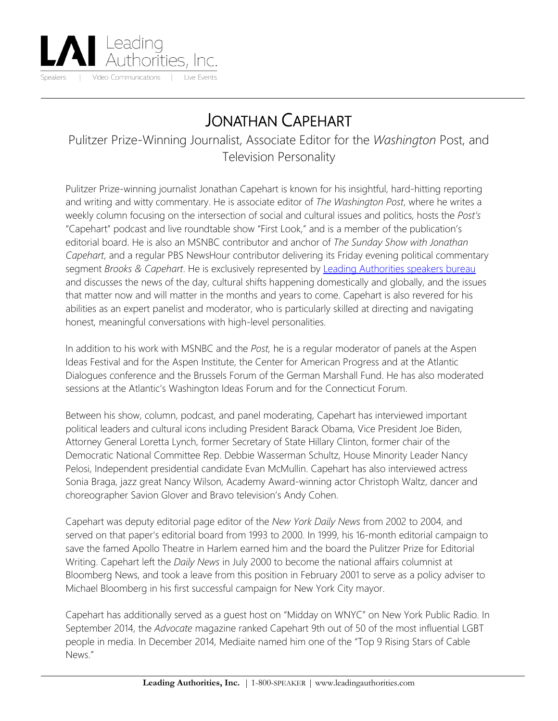

## JONATHAN CAPEHART

Pulitzer Prize-Winning Journalist, Associate Editor for the *Washington* Post, and Television Personality

Pulitzer Prize-winning journalist Jonathan Capehart is known for his insightful, hard-hitting reporting and writing and witty commentary. He is associate editor of *The Washington Post*, where he writes a weekly column focusing on the intersection of social and cultural issues and politics, hosts the *Post's*  "Capehart" podcast and live roundtable show "First Look," and is a member of the publication's editorial board. He is also an MSNBC contributor and anchor of *The Sunday Show with Jonathan Capehart*, and a regular PBS NewsHour contributor delivering its Friday evening political commentary segment *Brooks & Capehart*. He is exclusively represented by [Leading Authorities speakers bureau](https://www.leadingauthorities.com/) and discusses the news of the day, cultural shifts happening domestically and globally, and the issues that matter now and will matter in the months and years to come. Capehart is also revered for his abilities as an expert panelist and moderator, who is particularly skilled at directing and navigating honest, meaningful conversations with high-level personalities.

In addition to his work with MSNBC and the *Post,* he is a regular moderator of panels at the Aspen Ideas Festival and for the Aspen Institute, the Center for American Progress and at the Atlantic Dialogues conference and the Brussels Forum of the German Marshall Fund. He has also moderated sessions at the Atlantic's Washington Ideas Forum and for the Connecticut Forum.

Between his show, column, podcast, and panel moderating, Capehart has interviewed important political leaders and cultural icons including President Barack Obama, Vice President Joe Biden, Attorney General Loretta Lynch, former Secretary of State Hillary Clinton, former chair of the Democratic National Committee Rep. Debbie Wasserman Schultz, House Minority Leader Nancy Pelosi, Independent presidential candidate Evan McMullin. Capehart has also interviewed actress Sonia Braga, jazz great Nancy Wilson, Academy Award-winning actor Christoph Waltz, dancer and choreographer Savion Glover and Bravo television's Andy Cohen.

Capehart was deputy editorial page editor of the *New York Daily News* from 2002 to 2004, and served on that paper's editorial board from 1993 to 2000. In 1999, his 16-month editorial campaign to save the famed Apollo Theatre in Harlem earned him and the board the Pulitzer Prize for Editorial Writing. Capehart left the *Daily News* in July 2000 to become the national affairs columnist at Bloomberg News, and took a leave from this position in February 2001 to serve as a policy adviser to Michael Bloomberg in his first successful campaign for New York City mayor.

Capehart has additionally served as a guest host on "Midday on WNYC" on New York Public Radio. In September 2014, the *Advocate* magazine ranked Capehart 9th out of 50 of the most influential LGBT people in media. In December 2014, Mediaite named him one of the "Top 9 Rising Stars of Cable News."